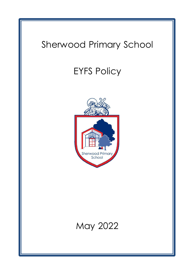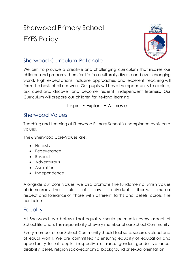# Sherwood Primary School EYFS Policy



# Sherwood Curriculum Rationale

We aim to provide a creative and challenging curriculum that inspires our children and prepares them for life in a culturally diverse and ever-changing world. High expectations, inclusive approaches and excellent teaching will form the basis of all our work. Our pupils will have the opportunity to explore, ask questions, discover and become resilient, independent learners. Our Curriculum will prepare our children for life-long learning.

#### Inspire • Explore • Achieve

#### Sherwood Values

Teaching and Learning at Sherwood Primary School is underpinned by six core values.

The 6 Sherwood Core-Values are:

- Honesty
- Perseverance
- Respect
- Adventurous
- Aspiration
- Independence

Alongside our core values, we also promote the fundamental British values of democracy, the rule of law, individual liberty, mutual respect and tolerance of those with different faiths and beliefs across the curriculum.

## **Equality**

At Sherwood, we believe that equality should permeate every aspect of School life and is the responsibility of every member of our School Community.

Every member of our School Community should feel safe, secure, valued and of equal worth. We are committed to ensuring equality of education and opportunity for all pupils; irrespective of race, gender, gender variance, disability, belief, religion socio-economic background or sexual orientation.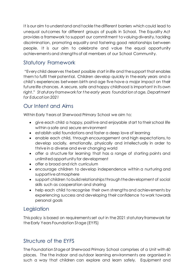It is our aim to understand and tackle the different barriers which could lead to unequal outcomes for different groups of pupils in School. The Equality Act provides a framework to support our commitment to valuing diversity, tackling discrimination, promoting equality and fostering good relationships between people. It is our aim to celebrate and value the equal opportunity achievements and strengths of all members of our School Community.

# Statutory Framework

"Every child deserves the best possible start in life and the support that enables them to fulfil their potential. Children develop quickly in the early years and a child's experiences between birth and age five have a major impact on their future life chances. A secure, safe and happy childhood is important in its own right." *St atutory framework for t he early years foundat ion st age, Department for Educat ion 2021*

# Our Intent and Aims

Within Early Years at Sherwood Primary School we aim to;

- give each child a happy, positive and enjoyable start to their school life within a safe and secure environment
- establish solid foundations and foster a deep love of learning
- enable each child, through encouragement and high expectations, to develop socially, emotionally, physically and intellectually in order to thrive in a diverse and ever changing world
- offer a structure for learning that has a range of starting points and unlimited opportunity for development
- offer a broad and rich curriculum
- encourage children to develop independence within a nurturing and supportive atmosphere
- support children to build relationships through the development of social skills such as cooperation and sharing
- help each child to recognise their own strengths and achievements by experiencing success and developing their confidence to work towards personal goals

# **Legislation**

This policy is based on requirements set out in the 2021 statutory framework for the Early Years Foundation Stage (EYFS)

# Structure of the EYFS

The Foundation Stage at Sherwood Primary School comprises of a Unit with 60 places. The the indoor and outdoor learning environments are organised in such a way that children can explore and learn safely. Equipment and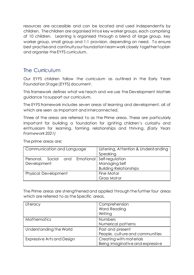resources are accessible and can be located and used independently by children. The children are organised into 6 key worker groups, each comprising of 10 children. Learning is organised through a blend of large group, key worker group, small group and 1:1 provision, depending on need. To ensure best practise and continuity our foundation team work closely together to plan and organise the EYFS curriculum.

## The Curriculum

Our EYFS children follow the curriculum as outlined in the Early Years Foundation Stage (EYFS) document.

This framework defines what we teach and we use the Development Matters guidance to support our curriculum.

The EYFS framework includes seven areas of learning and development, all of which are seen as important and interconnected.

Three of the areas are referred to as the Prime areas. These are particularly important for building a foundation for igniting children's curiosity and enthusiasm for learning, forming relationships and thriving. *(Early Years Framework 2021)*

| Communication and Language                        | Listening, Attention & Understanding |
|---------------------------------------------------|--------------------------------------|
|                                                   | Speaking                             |
| Social and Emotional Self-regulation<br>Personal, |                                      |
| Development                                       | Managing Self                        |
|                                                   | <b>Building Relationships</b>        |
| <b>Physical Development</b>                       | Fine Motor                           |
|                                                   | Gross Motor                          |

The prime areas are;

The Prime areas are strengthened and applied through the further four areas which are referred to as the Specific areas.

| Literacy                   | Comprehension<br>Word Reading<br>Writing                    |
|----------------------------|-------------------------------------------------------------|
| <b>Mathematics</b>         | <b>Numbers</b><br>Numerical patterns                        |
| Understanding the World    | Past and present<br>People, culture and communities         |
| Expressive Arts and Design | Creating with materials<br>Being imaginative and expressive |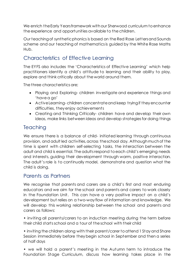We enrich the Early Years framework with our Sherwood curriculum to enhance the experience and opportunities available to the children.

Our teaching of synthetic phonics is based on the Red Rose Letters and Sounds scheme and our teaching of mathematics is guided by the White Rose Maths Hub.

## Characteristics of Effective Learning

The EYFS also includes the 'Characteristics of Effective Learning' which help practitioners identify a child's attitude to learning and their ability to play, explore and think critically about the world around them.

The three characteristics are;

- Playing and Exploring- children investigate and experience things and 'have a go'
- Active Learning- children concentrate and keep trying if they encounter difficulties, they enjoy achievements
- Creating and Thinking Critically- children have and develop their own ideas, make links between ideas and develop strategies for doing things

# **Teaching**

We ensure there is a balance of child- initiated learning through continuous provision, and adult led activities, across the school day. Although much of the time is spent with children self-selecting tasks, the interaction between the adult and child is essential. The adults respond to each child's emerging needs and interests, guiding their development through warm, positive interaction. The adult's role is to continually model, demonstrate and question what the child is doing.

## Parents as Partners

We recognise that parents and carers are a child's first and most enduring educators and we aim for the school and parents and carers to work closely in the Foundation Unit. This can have a very positive impact on a child's development but relies on a two-way flow of information and knowledge. We will develop this working relationship between the school and parents and carers as follows:

• inviting all parents/carers to an induction meeting during the term before their child starts school and a tour of the school with their child

• inviting the children along with their parent/carer to attend 1 Stay and Share Session immediately before they begin school in September and then a series of half days

• we will hold a parent's meeting in the Autumn term to introduce the Foundation Stage Curriculum, discuss how learning takes place in the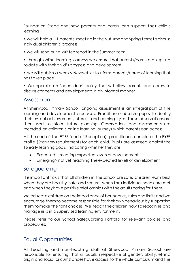Foundation Stage and how parents and carers can support their child's learning

- we will hold a 1-1 parents' meeting in theAutumn andSpring termsto discuss individual children's progress
- we will send out a written report in the Summer term

• through online learning journeys we ensure that parents/carers are kept up to date with their child's progress and development

• we will publish a weekly Newsletter to inform parents/carers of learning that has taken place

• We operate an 'open door' policy that will allow parents and carers to discuss concerns and developments in an informal manner

#### Assessment

At Sherwood Primary School, ongoing assessment is an integral part of the learning and development processes. Practitioners observe pupils to identify their level of achievement, interests and learning styles. These observations are then used to inform future planning. Observations and assessments are recorded on children's online learning journeys which parents can access.

At the end of the EYFS (end of Reception), practitioners complete the EYFS profile (Statutory requirement) for each child. Pupils are assessed against the 16 early learning goals, indicating whether they are;

- 'Expected' meeting expected levels of development
- 'Emerging'- not yet reaching the expected levels of development

#### Safeguarding

It is important to us that all children in the school are safe. Children learn best when they are healthy, safe and secure, when their individual needs are met and when they have positive relationships with the adults caring for them.

We educate children on the importance of boundaries, rules and limits and we encourage them to become responsible for their own behaviour by supporting them to make the right choices. We teach the children how to recognise and manage risks in a supervised learning environment.

Please refer to our School Safeguarding Portfolio for relevant policies and procedures.

# Equal Opportunities

All teaching and non-teaching staff at Sherwood Primary School are responsible for ensuring that all pupils, irrespective of gender, ability, ethnic origin and social circumstances have access to the whole curriculum and the